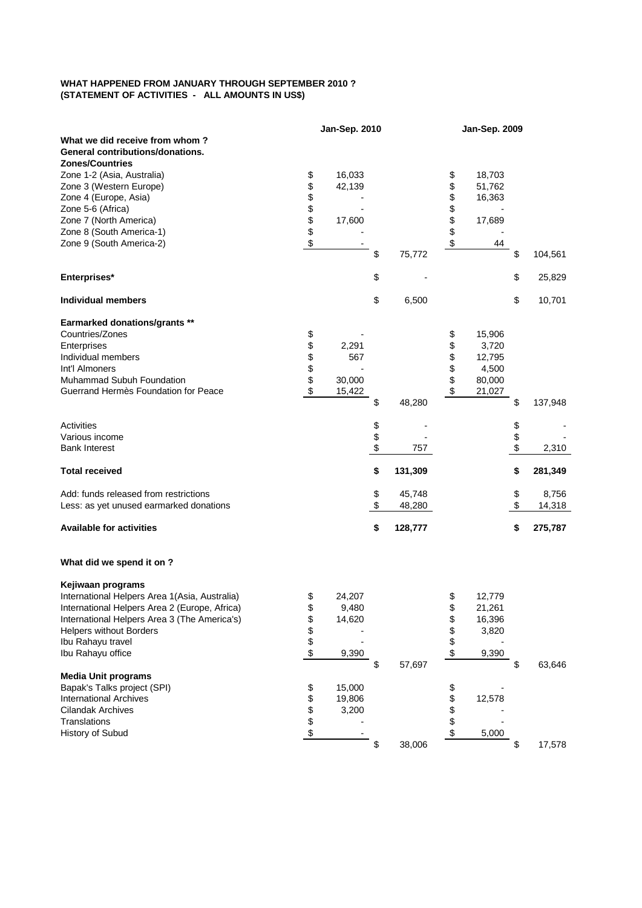## **WHAT HAPPENED FROM JANUARY THROUGH SEPTEMBER 2010 ? (STATEMENT OF ACTIVITIES - ALL AMOUNTS IN US\$)**

|                                               | <b>Jan-Sep. 2010</b> |        |    | <b>Jan-Sep. 2009</b> |    |        |    |         |
|-----------------------------------------------|----------------------|--------|----|----------------------|----|--------|----|---------|
| What we did receive from whom?                |                      |        |    |                      |    |        |    |         |
| General contributions/donations.              |                      |        |    |                      |    |        |    |         |
| <b>Zones/Countries</b>                        |                      |        |    |                      |    |        |    |         |
| Zone 1-2 (Asia, Australia)                    | \$                   | 16,033 |    |                      | \$ | 18,703 |    |         |
| Zone 3 (Western Europe)                       | \$                   | 42,139 |    |                      | \$ | 51,762 |    |         |
| Zone 4 (Europe, Asia)                         | \$                   |        |    |                      | \$ | 16,363 |    |         |
| Zone 5-6 (Africa)                             |                      |        |    |                      | \$ |        |    |         |
| Zone 7 (North America)                        | \$\$                 | 17,600 |    |                      | \$ | 17,689 |    |         |
| Zone 8 (South America-1)                      |                      |        |    |                      | \$ |        |    |         |
| Zone 9 (South America-2)                      | \$                   |        |    |                      | \$ | 44     |    |         |
|                                               |                      |        | \$ | 75,772               |    |        | \$ | 104,561 |
| Enterprises*                                  |                      |        | \$ |                      |    |        | \$ | 25,829  |
| <b>Individual members</b>                     |                      |        | \$ | 6,500                |    |        | \$ | 10,701  |
|                                               |                      |        |    |                      |    |        |    |         |
| <b>Earmarked donations/grants **</b>          |                      |        |    |                      |    |        |    |         |
| Countries/Zones                               | \$                   |        |    |                      | \$ | 15,906 |    |         |
| Enterprises                                   | \$\$\$               | 2,291  |    |                      | \$ | 3,720  |    |         |
| Individual members                            |                      | 567    |    |                      | \$ | 12,795 |    |         |
| Int'l Almoners                                |                      |        |    |                      | \$ | 4,500  |    |         |
| Muhammad Subuh Foundation                     |                      | 30,000 |    |                      | \$ | 80,000 |    |         |
| Guerrand Hermès Foundation for Peace          | \$                   | 15,422 |    |                      | \$ | 21,027 |    |         |
|                                               |                      |        | \$ | 48,280               |    |        | \$ | 137,948 |
| <b>Activities</b>                             |                      |        | \$ |                      |    |        | \$ |         |
| Various income                                |                      |        | \$ |                      |    |        | \$ |         |
| <b>Bank Interest</b>                          |                      |        | \$ | 757                  |    |        | \$ | 2,310   |
| <b>Total received</b>                         |                      |        | \$ | 131,309              |    |        | \$ | 281,349 |
|                                               |                      |        |    |                      |    |        |    |         |
| Add: funds released from restrictions         |                      |        | \$ | 45,748               |    |        | \$ | 8,756   |
| Less: as yet unused earmarked donations       |                      |        | \$ | 48,280               |    |        | \$ | 14,318  |
| <b>Available for activities</b>               |                      |        | \$ | 128,777              |    |        | \$ | 275,787 |
| What did we spend it on ?                     |                      |        |    |                      |    |        |    |         |
|                                               |                      |        |    |                      |    |        |    |         |
| Kejiwaan programs                             |                      |        |    |                      |    |        |    |         |
| International Helpers Area 1(Asia, Australia) | \$                   | 24,207 |    |                      | \$ | 12,779 |    |         |
| International Helpers Area 2 (Europe, Africa) | \$                   | 9,480  |    |                      | \$ | 21,261 |    |         |
| International Helpers Area 3 (The America's)  | \$\$\$\$             | 14,620 |    |                      | \$ | 16,396 |    |         |
| <b>Helpers without Borders</b>                |                      |        |    |                      | \$ | 3,820  |    |         |
| Ibu Rahayu travel                             |                      |        |    |                      |    |        |    |         |
| Ibu Rahayu office                             |                      | 9,390  |    |                      | \$ | 9,390  |    |         |
|                                               |                      |        | \$ | 57,697               |    |        | \$ | 63,646  |
| <b>Media Unit programs</b>                    |                      |        |    |                      |    |        |    |         |
| Bapak's Talks project (SPI)                   | \$                   | 15,000 |    |                      | \$ |        |    |         |
| <b>International Archives</b>                 |                      | 19,806 |    |                      | \$ | 12,578 |    |         |
| <b>Cilandak Archives</b>                      | \$\$\$               | 3,200  |    |                      | \$ |        |    |         |
| Translations                                  |                      |        |    |                      | \$ |        |    |         |
| History of Subud                              |                      |        |    |                      | \$ | 5,000  |    |         |
|                                               |                      |        | \$ | 38,006               |    |        | \$ | 17,578  |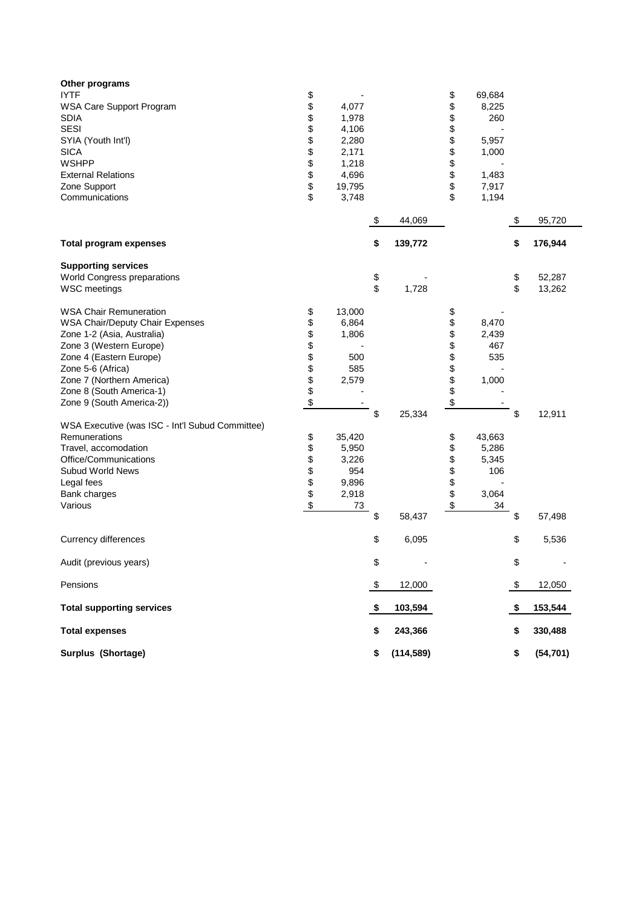| Other programs<br><b>IYTF</b><br>WSA Care Support Program<br><b>SDIA</b><br><b>SESI</b><br>SYIA (Youth Int'l)<br><b>SICA</b><br><b>WSHPP</b><br><b>External Relations</b><br>Zone Support<br>Communications                                                                                                                                                                                                                                       | \$<br>\$<br>\$<br>\$\$\$\$\$\$\$<br>\$                         | 4,077<br>1,978<br>4,106<br>2,280<br>2,171<br>1,218<br>4,696<br>19,795<br>3,748                             |          |            | \$<br>\$<br>\$<br>\$\$\$\$\$\$<br>\$                           | 69,684<br>8,225<br>260<br>5,957<br>1,000<br>1,483<br>7,917<br>1,194                     |          |                  |
|---------------------------------------------------------------------------------------------------------------------------------------------------------------------------------------------------------------------------------------------------------------------------------------------------------------------------------------------------------------------------------------------------------------------------------------------------|----------------------------------------------------------------|------------------------------------------------------------------------------------------------------------|----------|------------|----------------------------------------------------------------|-----------------------------------------------------------------------------------------|----------|------------------|
|                                                                                                                                                                                                                                                                                                                                                                                                                                                   |                                                                |                                                                                                            | \$       | 44,069     |                                                                |                                                                                         | \$       | 95,720           |
| <b>Total program expenses</b>                                                                                                                                                                                                                                                                                                                                                                                                                     |                                                                |                                                                                                            | \$       | 139,772    |                                                                |                                                                                         | \$       | 176,944          |
| <b>Supporting services</b><br>World Congress preparations<br><b>WSC</b> meetings                                                                                                                                                                                                                                                                                                                                                                  |                                                                |                                                                                                            | \$<br>\$ | 1,728      |                                                                |                                                                                         | \$<br>\$ | 52,287<br>13,262 |
| <b>WSA Chair Remuneration</b><br>WSA Chair/Deputy Chair Expenses<br>Zone 1-2 (Asia, Australia)<br>Zone 3 (Western Europe)<br>Zone 4 (Eastern Europe)<br>Zone 5-6 (Africa)<br>Zone 7 (Northern America)<br>Zone 8 (South America-1)<br>Zone 9 (South America-2))<br>WSA Executive (was ISC - Int'l Subud Committee)<br>Remunerations<br>Travel, accomodation<br>Office/Communications<br>Subud World News<br>Legal fees<br>Bank charges<br>Various | \$<br>\$<br>\$\$\$\$\$\$\$<br>\$<br>\$<br>\$<br>\$\$\$\$<br>\$ | 13,000<br>6,864<br>1,806<br>500<br>585<br>2,579<br>35,420<br>5,950<br>3,226<br>954<br>9,896<br>2,918<br>73 | \$       | 25,334     | \$<br>\$<br>\$\$\$\$\$\$\$<br>\$<br>\$<br>\$<br>\$\$\$\$<br>\$ | 8,470<br>2,439<br>467<br>535<br>1,000<br>43,663<br>5,286<br>5,345<br>106<br>3,064<br>34 | \$       | 12,911           |
|                                                                                                                                                                                                                                                                                                                                                                                                                                                   |                                                                |                                                                                                            | \$       | 58,437     |                                                                |                                                                                         | \$       | 57,498           |
| Currency differences                                                                                                                                                                                                                                                                                                                                                                                                                              |                                                                |                                                                                                            | \$       | 6,095      |                                                                |                                                                                         | \$       | 5,536            |
| Audit (previous years)                                                                                                                                                                                                                                                                                                                                                                                                                            |                                                                |                                                                                                            | \$       |            |                                                                |                                                                                         | \$       |                  |
| Pensions                                                                                                                                                                                                                                                                                                                                                                                                                                          |                                                                |                                                                                                            | \$       | 12,000     |                                                                |                                                                                         | \$       | 12,050           |
| <b>Total supporting services</b>                                                                                                                                                                                                                                                                                                                                                                                                                  |                                                                |                                                                                                            | \$       | 103,594    |                                                                |                                                                                         | \$       | 153,544          |
| <b>Total expenses</b>                                                                                                                                                                                                                                                                                                                                                                                                                             |                                                                |                                                                                                            | \$       | 243,366    |                                                                |                                                                                         | \$       | 330,488          |
| Surplus (Shortage)                                                                                                                                                                                                                                                                                                                                                                                                                                |                                                                |                                                                                                            | \$       | (114, 589) |                                                                |                                                                                         | \$       | (54, 701)        |